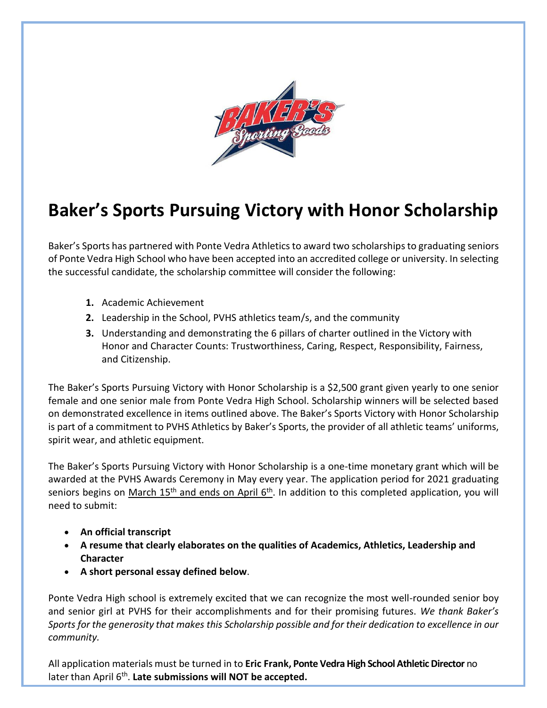

## **Baker's Sports Pursuing Victory with Honor Scholarship**

Baker's Sports has partnered with Ponte Vedra Athletics to award two scholarshipsto graduating seniors of Ponte Vedra High School who have been accepted into an accredited college or university. In selecting the successful candidate, the scholarship committee will consider the following:

- **1.** Academic Achievement
- **2.** Leadership in the School, PVHS athletics team/s, and the community
- **3.** Understanding and demonstrating the 6 pillars of charter outlined in the Victory with Honor and Character Counts: Trustworthiness, Caring, Respect, Responsibility, Fairness, and Citizenship.

The Baker's Sports Pursuing Victory with Honor Scholarship is a \$2,500 grant given yearly to one senior female and one senior male from Ponte Vedra High School. Scholarship winners will be selected based on demonstrated excellence in items outlined above. The Baker's Sports Victory with Honor Scholarship is part of a commitment to PVHS Athletics by Baker's Sports, the provider of all athletic teams' uniforms, spirit wear, and athletic equipment.

The Baker's Sports Pursuing Victory with Honor Scholarship is a one-time monetary grant which will be awarded at the PVHS Awards Ceremony in May every year. The application period for 2021 graduating seniors begins on <u>March 15<sup>th</sup> and ends on April 6<sup>th</sup></u>. In addition to this completed application, you will need to submit:

- **An official transcript**
- **A resume that clearly elaborates on the qualities of Academics, Athletics, Leadership and Character**
- **A short personal essay defined below**.

Ponte Vedra High school is extremely excited that we can recognize the most well-rounded senior boy and senior girl at PVHS for their accomplishments and for their promising futures. *We thank Baker's Sports for the generosity that makes this Scholarship possible and for their dedication to excellence in our community.*

All application materials must be turned in to **Eric Frank, Ponte Vedra High School Athletic Director** no later than April 6<sup>th</sup>. Late submissions will NOT be accepted.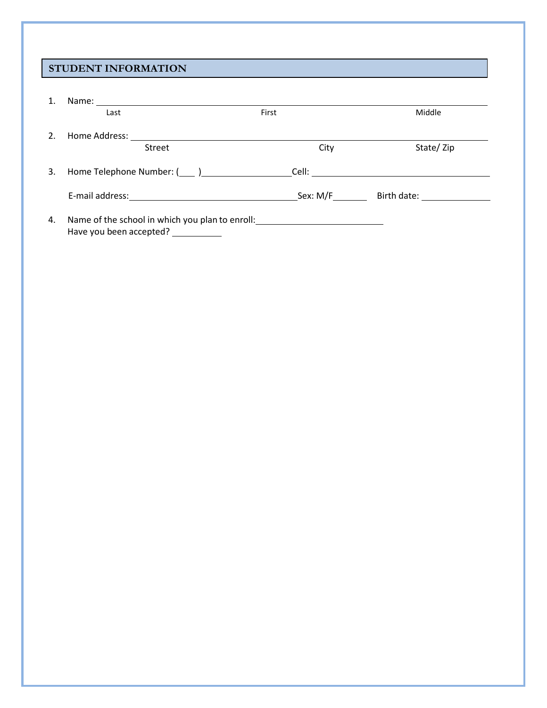## **STUDENT INFORMATION**

| 1. | Name:                                                                      |       |                                               |
|----|----------------------------------------------------------------------------|-------|-----------------------------------------------|
|    | Last                                                                       | First | Middle                                        |
| 2. | Home Address:                                                              |       |                                               |
|    | Street                                                                     | City  | State/Zip                                     |
| 3. |                                                                            |       | Cell: __ <b>_________________________</b> ___ |
|    |                                                                            |       | Birth date: <u>__________</u>                 |
| 4. | Name of the school in which you plan to enroll:<br>Have you been accepted? |       |                                               |